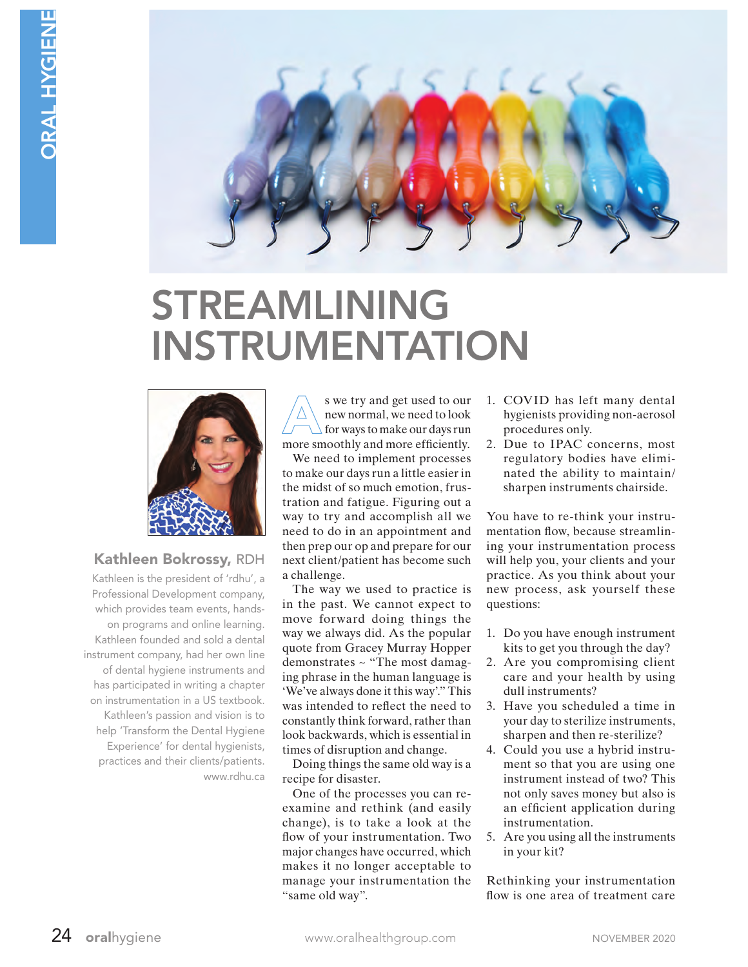

# STREAMLINING INSTRUMENTATION



# Kathleen Bokrossy, RDH

Kathleen is the president of 'rdhu', a Professional Development company, which provides team events, handson programs and online learning. Kathleen founded and sold a dental instrument company, had her own line of dental hygiene instruments and has participated in writing a chapter on instrumentation in a US textbook. Kathleen's passion and vision is to help 'Transform the Dental Hygiene Experience' for dental hygienists, practices and their clients/patients. www.rdhu.ca

s we try and get used to our new normal, we need to look for ways to make our days run more smoothly and more efficiently.

We need to implement processes to make our days run a little easier in the midst of so much emotion, frustration and fatigue. Figuring out a way to try and accomplish all we need to do in an appointment and then prep our op and prepare for our next client/patient has become such a challenge.

The way we used to practice is in the past. We cannot expect to move forward doing things the way we always did. As the popular quote from Gracey Murray Hopper demonstrates ~ "The most damaging phrase in the human language is 'We've always done it this way'." This was intended to reflect the need to constantly think forward, rather than look backwards, which is essential in times of disruption and change.

Doing things the same old way is a recipe for disaster.

One of the processes you can reexamine and rethink (and easily change), is to take a look at the flow of your instrumentation. Two major changes have occurred, which makes it no longer acceptable to manage your instrumentation the "same old way".

- 1. COVID has left many dental hygienists providing non-aerosol procedures only.
- 2. Due to IPAC concerns, most regulatory bodies have eliminated the ability to maintain/ sharpen instruments chairside.

You have to re-think your instrumentation flow, because streamlining your instrumentation process will help you, your clients and your practice. As you think about your new process, ask yourself these questions:

- 1. Do you have enough instrument kits to get you through the day?
- 2. Are you compromising client care and your health by using dull instruments?
- 3. Have you scheduled a time in your day to sterilize instruments, sharpen and then re-sterilize?
- 4. Could you use a hybrid instrument so that you are using one instrument instead of two? This not only saves money but also is an efficient application during instrumentation.
- 5. Are you using all the instruments in your kit?

Rethinking your instrumentation flow is one area of treatment care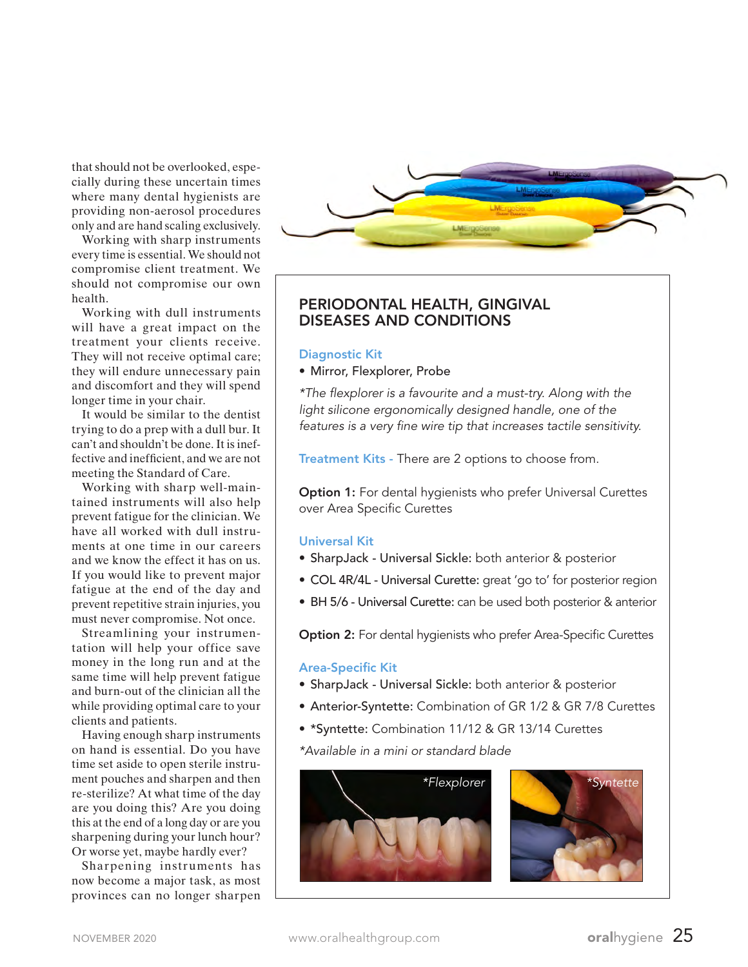that should not be overlooked, especially during these uncertain times where many dental hygienists are providing non-aerosol procedures only and are hand scaling exclusively.

Working with sharp instruments every time is essential. We should not compromise client treatment. We should not compromise our own health.

Working with dull instruments will have a great impact on the treatment your clients receive. They will not receive optimal care; they will endure unnecessary pain and discomfort and they will spend longer time in your chair.

It would be similar to the dentist trying to do a prep with a dull bur. It can't and shouldn't be done. It is ineffective and inefficient, and we are not meeting the Standard of Care.

Working with sharp well-maintained instruments will also help prevent fatigue for the clinician. We have all worked with dull instruments at one time in our careers and we know the effect it has on us. If you would like to prevent major fatigue at the end of the day and prevent repetitive strain injuries, you must never compromise. Not once.

Streamlining your instrumentation will help your office save money in the long run and at the same time will help prevent fatigue and burn-out of the clinician all the while providing optimal care to your clients and patients.

Having enough sharp instruments on hand is essential. Do you have time set aside to open sterile instrument pouches and sharpen and then re-sterilize? At what time of the day are you doing this? Are you doing this at the end of a long day or are you sharpening during your lunch hour? Or worse yet, maybe hardly ever?

Sharpening instruments has now become a major task, as most provinces can no longer sharpen



# PERIODONTAL HEALTH, GINGIVAL DISEASES AND CONDITIONS

#### Diagnostic Kit

#### • Mirror, Flexplorer, Probe

*\*The* !*explorer is a favourite and a must-try. Along with the light silicone ergonomically designed handle, one of the*  features is a very fine wire tip that increases tactile sensitivity.

Treatment Kits - There are 2 options to choose from.

**Option 1:** For dental hygienists who prefer Universal Curettes over Area Specific Curettes

### Universal Kit

- SharpJack Universal Sickle: both anterior & posterior
- COL 4R/4L Universal Curette: great 'go to' for posterior region
- BH 5/6 Universal Curette: can be used both posterior & anterior

Option 2: For dental hygienists who prefer Area-Specific Curettes

#### **Area-Specific Kit**

- SharpJack Universal Sickle: both anterior & posterior
- Anterior-Syntette: Combination of GR 1/2 & GR 7/8 Curettes
- \*Syntette: Combination 11/12 & GR 13/14 Curettes

*\*Available in a mini or standard blade*



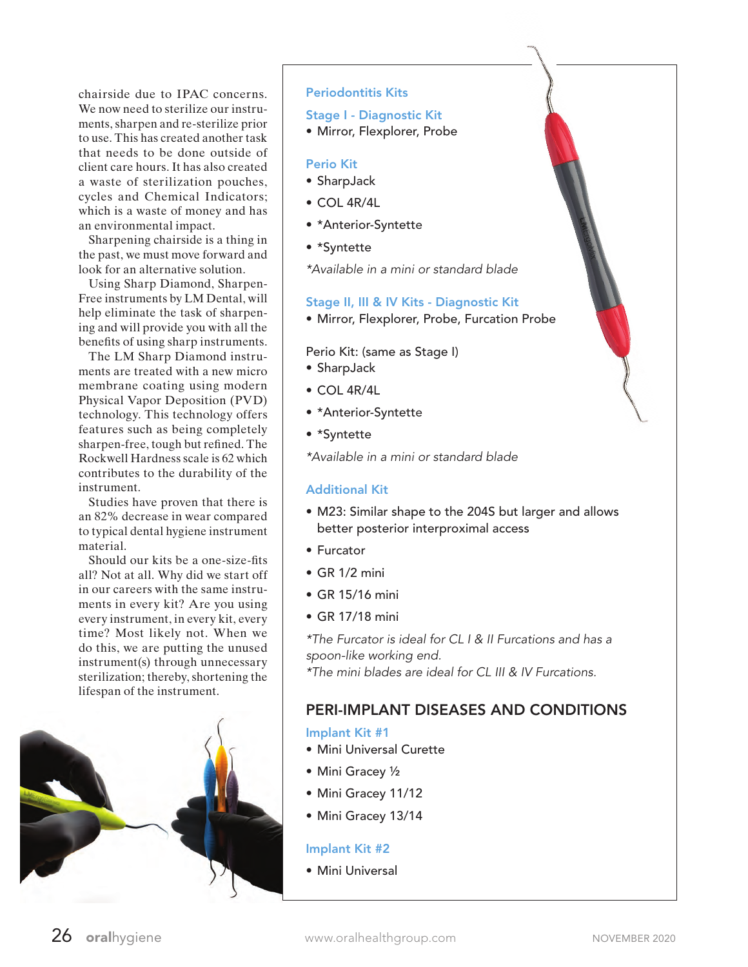chairside due to IPAC concerns. We now need to sterilize our instruments, sharpen and re-sterilize prior to use. This has created another task that needs to be done outside of client care hours. It has also created a waste of sterilization pouches, cycles and Chemical Indicators; which is a waste of money and has an environmental impact.

Sharpening chairside is a thing in the past, we must move forward and look for an alternative solution.

Using Sharp Diamond, Sharpen-Free instruments by LM Dental, will help eliminate the task of sharpening and will provide you with all the benefits of using sharp instruments.

The LM Sharp Diamond instruments are treated with a new micro membrane coating using modern Physical Vapor Deposition (PVD) technology. This technology offers features such as being completely sharpen-free, tough but refined. The Rockwell Hardness scale is 62 which contributes to the durability of the instrument.

Studies have proven that there is an 82% decrease in wear compared to typical dental hygiene instrument material.

Should our kits be a one-size-fits all? Not at all. Why did we start off in our careers with the same instruments in every kit? Are you using every instrument, in every kit, every time? Most likely not. When we do this, we are putting the unused instrument(s) through unnecessary sterilization; thereby, shortening the lifespan of the instrument.



## Periodontitis Kits

#### Stage I - Diagnostic Kit

• Mirror, Flexplorer, Probe

## Perio Kit

- SharpJack
- COL 4R/4L
- \*Anterior-Syntette
- \*Syntette
- *\*Available in a mini or standard blade*

## Stage II, III & IV Kits - Diagnostic Kit

• Mirror, Flexplorer, Probe, Furcation Probe

Perio Kit: (same as Stage I)

- SharpJack
- COL 4R/4L
- \*Anterior-Syntette
- \*Syntette

*\*Available in a mini or standard blade*

# Additional Kit

- M23: Similar shape to the 204S but larger and allows better posterior interproximal access
- Furcator
- GR 1/2 mini
- GR 15/16 mini
- GR 17/18 mini

*\*The Furcator is ideal for CL I & II Furcations and has a spoon-like working end.*

*\*The mini blades are ideal for CL III & IV Furcations.*

# PERI-IMPLANT DISEASES AND CONDITIONS

# Implant Kit #1

- Mini Universal Curette
- Mini Gracey ½
- Mini Gracey 11/12
- Mini Gracey 13/14

# Implant Kit #2

• Mini Universal